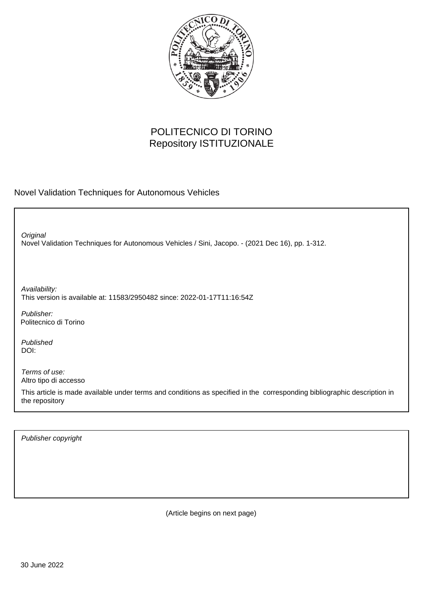

## POLITECNICO DI TORINO Repository ISTITUZIONALE

Novel Validation Techniques for Autonomous Vehicles

Novel Validation Techniques for Autonomous Vehicles / Sini, Jacopo. - (2021 Dec 16), pp. 1-312. **Original** 

Availability: This version is available at: 11583/2950482 since: 2022-01-17T11:16:54Z

Publisher: Politecnico di Torino

Published DOI:

Terms of use: Altro tipo di accesso

This article is made available under terms and conditions as specified in the corresponding bibliographic description in the repository

Publisher copyright

(Article begins on next page)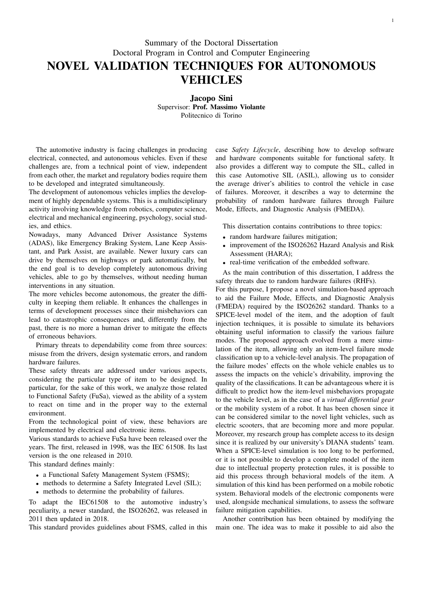## Summary of the Doctoral Dissertation Doctoral Program in Control and Computer Engineering NOVEL VALIDATION TECHNIQUES FOR AUTONOMOUS VEHICLES

Jacopo Sini Supervisor: Prof. Massimo Violante Politecnico di Torino

The automotive industry is facing challenges in producing electrical, connected, and autonomous vehicles. Even if these challenges are, from a technical point of view, independent from each other, the market and regulatory bodies require them to be developed and integrated simultaneously.

The development of autonomous vehicles implies the development of highly dependable systems. This is a multidisciplinary activity involving knowledge from robotics, computer science, electrical and mechanical engineering, psychology, social studies, and ethics.

Nowadays, many Advanced Driver Assistance Systems (ADAS), like Emergency Braking System, Lane Keep Assistant, and Park Assist, are available. Newer luxury cars can drive by themselves on highways or park automatically, but the end goal is to develop completely autonomous driving vehicles, able to go by themselves, without needing human interventions in any situation.

The more vehicles become autonomous, the greater the difficulty in keeping them reliable. It enhances the challenges in terms of development processes since their misbehaviors can lead to catastrophic consequences and, differently from the past, there is no more a human driver to mitigate the effects of erroneous behaviors.

Primary threats to dependability come from three sources: misuse from the drivers, design systematic errors, and random hardware failures.

These safety threats are addressed under various aspects, considering the particular type of item to be designed. In particular, for the sake of this work, we analyze those related to Functional Safety (FuSa), viewed as the ability of a system to react on time and in the proper way to the external environment.

From the technological point of view, these behaviors are implemented by electrical and electronic items.

Various standards to achieve FuSa have been released over the years. The first, released in 1998, was the IEC 61508. Its last version is the one released in 2010.

This standard defines mainly:

- a Functional Safety Management System (FSMS);
- methods to determine a Safety Integrated Level (SIL);
- methods to determine the probability of failures.

To adapt the IEC61508 to the automotive industry's peculiarity, a newer standard, the ISO26262, was released in 2011 then updated in 2018.

This standard provides guidelines about FSMS, called in this

case *Safety Lifecycle*, describing how to develop software and hardware components suitable for functional safety. It also provides a different way to compute the SIL, called in this case Automotive SIL (ASIL), allowing us to consider the average driver's abilities to control the vehicle in case of failures. Moreover, it describes a way to determine the probability of random hardware failures through Failure Mode, Effects, and Diagnostic Analysis (FMEDA).

This dissertation contains contributions to three topics:

- random hardware failures mitigation;
- improvement of the ISO26262 Hazard Analysis and Risk Assessment (HARA);
- real-time verification of the embedded software.

As the main contribution of this dissertation, I address the safety threats due to random hardware failures (RHFs).

For this purpose, I propose a novel simulation-based approach to aid the Failure Mode, Effects, and Diagnostic Analysis (FMEDA) required by the ISO26262 standard. Thanks to a SPICE-level model of the item, and the adoption of fault injection techniques, it is possible to simulate its behaviors obtaining useful information to classify the various failure modes. The proposed approach evolved from a mere simulation of the item, allowing only an item-level failure mode classification up to a vehicle-level analysis. The propagation of the failure modes' effects on the whole vehicle enables us to assess the impacts on the vehicle's drivability, improving the quality of the classifications. It can be advantageous where it is difficult to predict how the item-level misbehaviors propagate to the vehicle level, as in the case of a *virtual differential gear* or the mobility system of a robot. It has been chosen since it can be considered similar to the novel light vehicles, such as electric scooters, that are becoming more and more popular. Moreover, my research group has complete access to its design since it is realized by our university's DIANA students' team. When a SPICE-level simulation is too long to be performed, or it is not possible to develop a complete model of the item due to intellectual property protection rules, it is possible to aid this process through behavioral models of the item. A simulation of this kind has been performed on a mobile robotic system. Behavioral models of the electronic components were used, alongside mechanical simulations, to assess the software failure mitigation capabilities.

Another contribution has been obtained by modifying the main one. The idea was to make it possible to aid also the